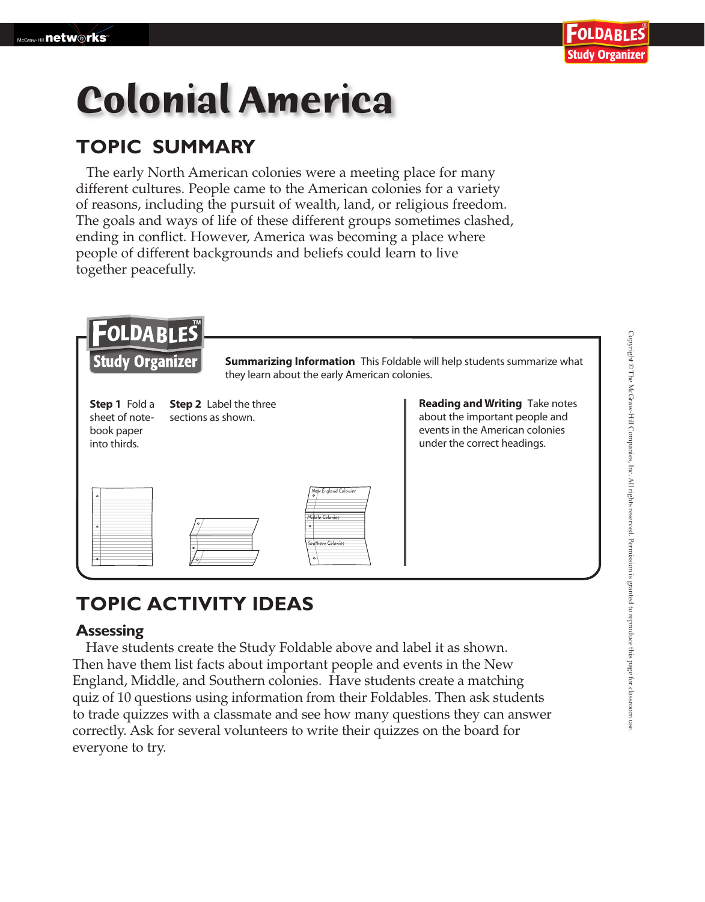# **Colonial America**

### **TOPIC SUMMARY**

The early North American colonies were a meeting place for many different cultures. People came to the American colonies for a variety of reasons, including the pursuit of wealth, land, or religious freedom. The goals and ways of life of these different groups sometimes clashed, ending in conflict. However, America was becoming a place where people of different backgrounds and beliefs could learn to live together peacefully.

| FOLDABLES<br><b>Study Organizer</b><br><b>Summarizing Information</b> This Foldable will help students summarize what<br>they learn about the early American colonies. |                                                                       |                                                                         |                                                                                                                                           |
|------------------------------------------------------------------------------------------------------------------------------------------------------------------------|-----------------------------------------------------------------------|-------------------------------------------------------------------------|-------------------------------------------------------------------------------------------------------------------------------------------|
| <b>Step 1</b> Fold a<br>book paper<br>into thirds.                                                                                                                     | <b>Step 2</b> Label the three<br>sheet of note-<br>sections as shown. |                                                                         | <b>Reading and Writing Take notes</b><br>about the important people and<br>events in the American colonies<br>under the correct headings. |
| $\Omega$<br>$\circ$<br>$\circ$                                                                                                                                         |                                                                       | New England Colonies<br>Middle Colonies<br>Southern Colonies<br>$\circ$ |                                                                                                                                           |

## **TOPIC ACTIVITY IDEAS**

#### **Assessing**

 Have students create the Study Foldable above and label it as shown. Then have them list facts about important people and events in the New England, Middle, and Southern colonies. Have students create a matching quiz of 10 questions using information from their Foldables. Then ask students to trade quizzes with a classmate and see how many questions they can answer correctly. Ask for several volunteers to write their quizzes on the board for everyone to try.